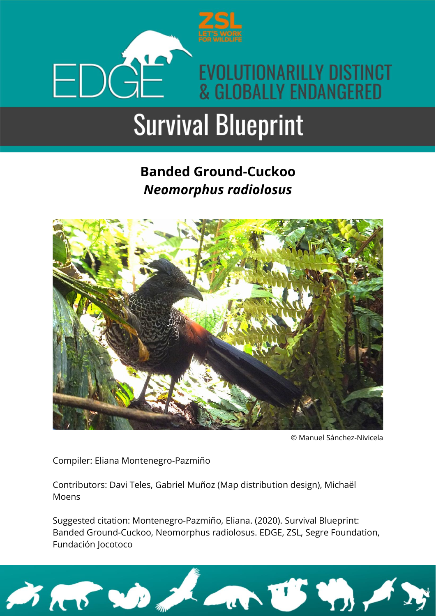

### **Banded Ground-Cuckoo** *Neomorphus radiolosus*



© Manuel Sánchez-Nivicela

Compiler: Eliana Montenegro-Pazmiño

Contributors: Davi Teles, Gabriel Muñoz (Map distribution design), Michaël Moens

Suggested citation: Montenegro-Pazmiño, Eliana. (2020). Survival Blueprint: Banded Ground-Cuckoo, Neomorphus radiolosus. EDGE, ZSL, Segre Foundation, Fundación Jocotoco

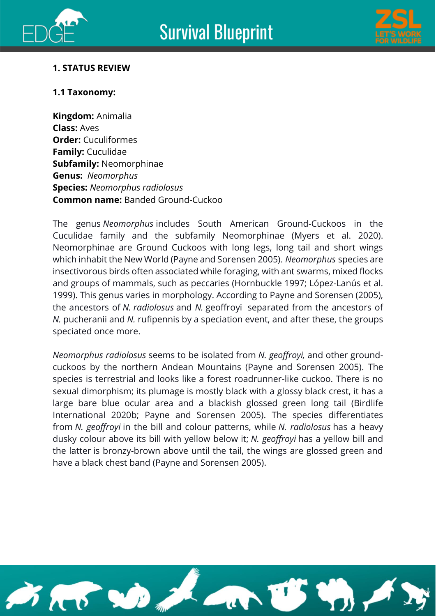





#### **1. STATUS REVIEW**

#### **1.1 Taxonomy:**

**Kingdom:** Animalia **Class:** Aves **Order:** Cuculiformes **Family:** Cuculidae **Subfamily:** Neomorphinae **Genus:** *Neomorphus* **Species:** *Neomorphus radiolosus* **Common name:** Banded Ground-Cuckoo

The genus *Neomorphus* includes South American Ground-Cuckoos in the Cuculidae family and the subfamily Neomorphinae (Myers et al. 2020). Neomorphinae are Ground Cuckoos with long legs, long tail and short wings which inhabit the New World (Payne and Sorensen 2005). *Neomorphus* species are insectivorous birds often associated while foraging, with ant swarms, mixed flocks and groups of mammals, such as peccaries (Hornbuckle 1997; López-Lanús et al. 1999). This genus varies in morphology. According to Payne and Sorensen (2005), the ancestors of *N. radiolosus* and *N.* geoffroyi separated from the ancestors of *N.* pucheranii and *N.* rufipennis by a speciation event, and after these, the groups speciated once more.

*Neomorphus radiolosus* seems to be isolated from *N. geoffroyi,* and other groundcuckoos by the northern Andean Mountains (Payne and Sorensen 2005). The species is terrestrial and looks like a forest roadrunner-like cuckoo. There is no sexual dimorphism; its plumage is mostly black with a glossy black crest, it has a large bare blue ocular area and a blackish glossed green long tail (Birdlife International 2020b; Payne and Sorensen 2005). The species differentiates from *N. geoffroyi* in the bill and colour patterns, while *N. radiolosus* has a heavy dusky colour above its bill with yellow below it; *N. geoffroyi* has a yellow bill and the latter is bronzy-brown above until the tail, the wings are glossed green and have a black chest band (Payne and Sorensen 2005).

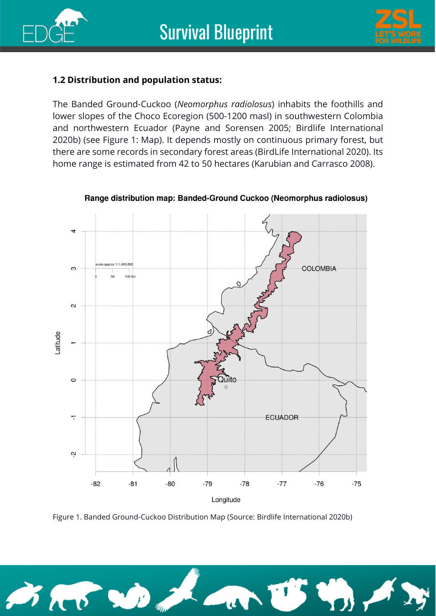



#### **1.2 Distribution and population status:**

The Banded Ground-Cuckoo (*Neomorphus radiolosus*) inhabits the foothills and lower slopes of the Choco Ecoregion (500-1200 masl) in southwestern Colombia and northwestern Ecuador (Payne and Sorensen 2005; Birdlife International 2020b) (see Figure 1: Map). It depends mostly on continuous primary forest, but there are some records in secondary forest areas (BirdLife International 2020). Its home range is estimated from 42 to 50 hectares (Karubian and Carrasco 2008).



Range distribution map: Banded-Ground Cuckoo (Neomorphus radiolosus)

Figure 1. Banded Ground-Cuckoo Distribution Map (Source: Birdlife International 2020b)

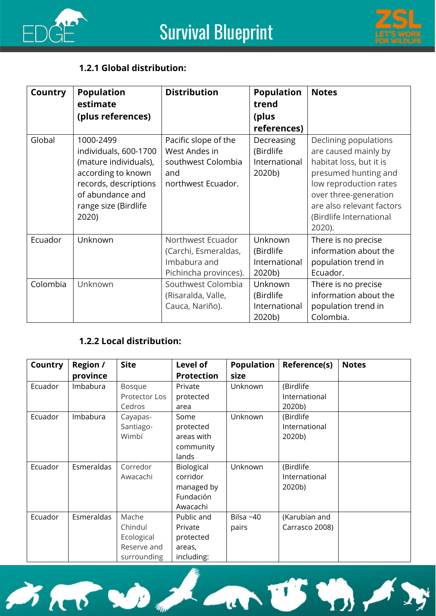



#### **1.2.1 Global distribution:**

| <b>Country</b> | <b>Population</b><br>estimate<br>(plus references)                                                                                                              | <b>Distribution</b>                                                                      | <b>Population</b><br>trend<br>(plus<br>references) | <b>Notes</b>                                                                                                                                                                                                          |
|----------------|-----------------------------------------------------------------------------------------------------------------------------------------------------------------|------------------------------------------------------------------------------------------|----------------------------------------------------|-----------------------------------------------------------------------------------------------------------------------------------------------------------------------------------------------------------------------|
| Global         | 1000-2499<br>individuals, 600-1700<br>(mature individuals),<br>according to known<br>records, descriptions<br>of abundance and<br>range size (Birdlife<br>2020) | Pacific slope of the<br>West Andes in<br>southwest Colombia<br>and<br>northwest Ecuador. | Decreasing<br>(Birdlife<br>International<br>2020b) | Declining populations<br>are caused mainly by<br>habitat loss, but it is<br>presumed hunting and<br>low reproduction rates<br>over three-generation<br>are also relevant factors<br>(Birdlife International<br>2020). |
| Ecuador        | Unknown                                                                                                                                                         | Northwest Ecuador<br>(Carchi, Esmeraldas,<br>Imbabura and<br>Pichincha provinces).       | Unknown<br>(Birdlife<br>International<br>2020b)    | There is no precise<br>information about the<br>population trend in<br>Ecuador.                                                                                                                                       |
| Colombia       | Unknown                                                                                                                                                         | Southwest Colombia<br>(Risaralda, Valle,<br>Cauca, Nariño).                              | Unknown<br>(Birdlife<br>International<br>2020b)    | There is no precise<br>information about the<br>population trend in<br>Colombia.                                                                                                                                      |

#### **1.2.2 Local distribution:**

| <b>Country</b> | Region /   | <b>Site</b>   | Level of          | <b>Population</b> | Reference(s)   | <b>Notes</b> |
|----------------|------------|---------------|-------------------|-------------------|----------------|--------------|
|                | province   |               | <b>Protection</b> | size              |                |              |
| Ecuador        | Imbabura   | <b>Bosque</b> | Private           | Unknown           | (Birdlife      |              |
|                |            | Protector Los | protected         |                   | International  |              |
|                |            | Cedros        | area              |                   | 2020b)         |              |
| Ecuador        | Imbabura   | Cayapas-      | Some              | Unknown           | (Birdlife      |              |
|                |            | Santiago-     | protected         |                   | International  |              |
|                |            | Wimbí         | areas with        |                   | 2020b)         |              |
|                |            |               | community         |                   |                |              |
|                |            |               | lands             |                   |                |              |
| Ecuador        | Esmeraldas | Corredor      | Biological        | Unknown           | (Birdlife      |              |
|                |            | Awacachi      | corridor          |                   | International  |              |
|                |            |               | managed by        |                   | 2020b)         |              |
|                |            |               | Fundación         |                   |                |              |
|                |            |               | Awacachi          |                   |                |              |
| Ecuador        | Esmeraldas | Mache         | Public and        | Bilsa~40          | (Karubian and  |              |
|                |            | Chindul       | Private           | pairs             | Carrasco 2008) |              |
|                |            | Ecological    | protected         |                   |                |              |
|                |            | Reserve and   | areas,            |                   |                |              |
|                |            | surrounding   | including:        |                   |                |              |

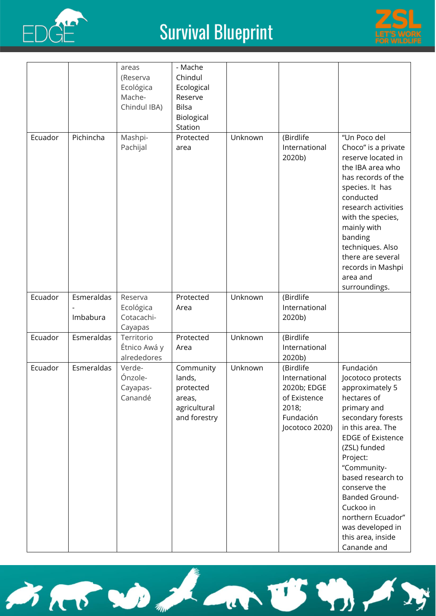



|         |            | areas                                     | - Mache                                                                    |         |                                                                                                   |                                                                                                                                                                                                                                                                                                                                                          |
|---------|------------|-------------------------------------------|----------------------------------------------------------------------------|---------|---------------------------------------------------------------------------------------------------|----------------------------------------------------------------------------------------------------------------------------------------------------------------------------------------------------------------------------------------------------------------------------------------------------------------------------------------------------------|
|         |            | (Reserva                                  | Chindul                                                                    |         |                                                                                                   |                                                                                                                                                                                                                                                                                                                                                          |
|         |            | Ecológica                                 | Ecological                                                                 |         |                                                                                                   |                                                                                                                                                                                                                                                                                                                                                          |
|         |            | Mache-<br>Chindul IBA)                    | Reserve<br><b>Bilsa</b>                                                    |         |                                                                                                   |                                                                                                                                                                                                                                                                                                                                                          |
|         |            |                                           | Biological                                                                 |         |                                                                                                   |                                                                                                                                                                                                                                                                                                                                                          |
|         |            |                                           | Station                                                                    |         |                                                                                                   |                                                                                                                                                                                                                                                                                                                                                          |
| Ecuador | Pichincha  | Mashpi-<br>Pachijal                       | Protected<br>area                                                          | Unknown | (Birdlife<br>International<br>2020b)                                                              | "Un Poco del<br>Choco" is a private<br>reserve located in<br>the IBA area who<br>has records of the<br>species. It has<br>conducted<br>research activities<br>with the species,<br>mainly with<br>banding<br>techniques. Also<br>there are several<br>records in Mashpi<br>area and                                                                      |
|         |            |                                           |                                                                            |         |                                                                                                   | surroundings.                                                                                                                                                                                                                                                                                                                                            |
| Ecuador | Esmeraldas | Reserva<br>Ecológica                      | Protected<br>Area                                                          | Unknown | (Birdlife<br>International                                                                        |                                                                                                                                                                                                                                                                                                                                                          |
|         | Imbabura   | Cotacachi-<br>Cayapas                     |                                                                            |         | 2020b)                                                                                            |                                                                                                                                                                                                                                                                                                                                                          |
| Ecuador | Esmeraldas | Territorio<br>Étnico Awá y<br>alrededores | Protected<br>Area                                                          | Unknown | (Birdlife<br>International<br>2020b)                                                              |                                                                                                                                                                                                                                                                                                                                                          |
| Ecuador | Esmeraldas | Verde-<br>Ónzole-<br>Cayapas-<br>Canandé  | Community<br>lands,<br>protected<br>areas,<br>agricultural<br>and forestry | Unknown | (Birdlife<br>International<br>2020b; EDGE<br>of Existence<br>2018;<br>Fundación<br>Jocotoco 2020) | Fundación<br>Jocotoco protects<br>approximately 5<br>hectares of<br>primary and<br>secondary forests<br>in this area. The<br><b>EDGE of Existence</b><br>(ZSL) funded<br>Project:<br>"Community-<br>based research to<br>conserve the<br><b>Banded Ground-</b><br>Cuckoo in<br>northern Ecuador"<br>was developed in<br>this area, inside<br>Canande and |

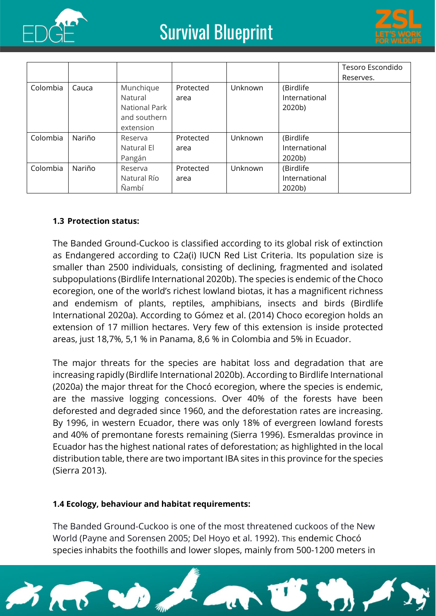



|          |        |               |           |         |               | Tesoro Escondido |
|----------|--------|---------------|-----------|---------|---------------|------------------|
|          |        |               |           |         |               | Reserves.        |
| Colombia | Cauca  | Munchique     | Protected | Unknown | (Birdlife     |                  |
|          |        | Natural       | area      |         | International |                  |
|          |        | National Park |           |         | 2020b)        |                  |
|          |        | and southern  |           |         |               |                  |
|          |        | extension     |           |         |               |                  |
| Colombia | Nariño | Reserva       | Protected | Unknown | (Birdlife     |                  |
|          |        | Natural El    | area      |         | International |                  |
|          |        | Pangán        |           |         | 2020b)        |                  |
| Colombia | Nariño | Reserva       | Protected | Unknown | (Birdlife     |                  |
|          |        | Natural Río   | area      |         | International |                  |
|          |        | Ñambí         |           |         | 2020b)        |                  |

#### **1.3 Protection status:**

The Banded Ground-Cuckoo is classified according to its global risk of extinction as Endangered according to C2a(i) IUCN Red List Criteria. Its population size is smaller than 2500 individuals, consisting of declining, fragmented and isolated subpopulations (Birdlife International 2020b). The species is endemic of the Choco ecoregion, one of the world's richest lowland biotas, it has a magnificent richness and endemism of plants, reptiles, amphibians, insects and birds (Birdlife International 2020a). According to Gómez et al. (2014) Choco ecoregion holds an extension of 17 million hectares. Very few of this extension is inside protected areas, just 18,7%, 5,1 % in Panama, 8,6 % in Colombia and 5% in Ecuador.

The major threats for the species are habitat loss and degradation that are increasing rapidly (Birdlife International 2020b). According to Birdlife International (2020a) the major threat for the Chocó ecoregion, where the species is endemic, are the massive logging concessions. Over 40% of the forests have been deforested and degraded since 1960, and the deforestation rates are increasing. By 1996, in western Ecuador, there was only 18% of evergreen lowland forests and 40% of premontane forests remaining (Sierra 1996). Esmeraldas province in Ecuador has the highest national rates of deforestation; as highlighted in the local distribution table, there are two important IBA sites in this province for the species (Sierra 2013).

#### **1.4 Ecology, behaviour and habitat requirements:**

The Banded Ground-Cuckoo is one of the most threatened cuckoos of the New World (Payne and Sorensen 2005; Del Hoyo et al. 1992). This endemic Chocó species inhabits the foothills and lower slopes, mainly from 500-1200 meters in

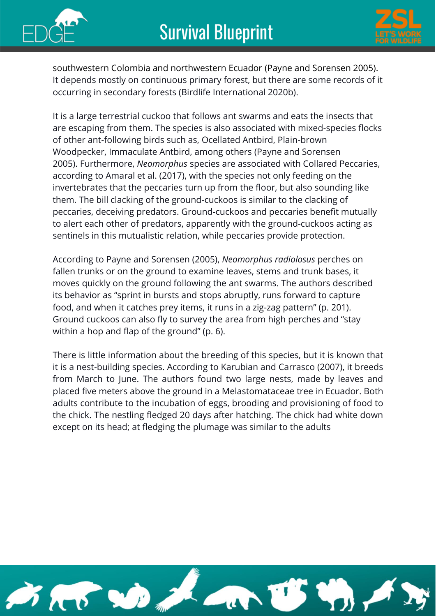



southwestern Colombia and northwestern Ecuador (Payne and Sorensen 2005). It depends mostly on continuous primary forest, but there are some records of it occurring in secondary forests (Birdlife International 2020b).

It is a large terrestrial cuckoo that follows ant swarms and eats the insects that are escaping from them. The species is also associated with mixed-species flocks of other ant-following birds such as, Ocellated Antbird, Plain-brown Woodpecker, Immaculate Antbird, among others (Payne and Sorensen 2005). Furthermore, *Neomorphus* species are associated with Collared Peccaries, according to Amaral et al. (2017), with the species not only feeding on the invertebrates that the peccaries turn up from the floor, but also sounding like them. The bill clacking of the ground-cuckoos is similar to the clacking of peccaries, deceiving predators. Ground-cuckoos and peccaries benefit mutually to alert each other of predators, apparently with the ground-cuckoos acting as sentinels in this mutualistic relation, while peccaries provide protection.

According to Payne and Sorensen (2005), *Neomorphus radiolosus* perches on fallen trunks or on the ground to examine leaves, stems and trunk bases, it moves quickly on the ground following the ant swarms. The authors described its behavior as "sprint in bursts and stops abruptly, runs forward to capture food, and when it catches prey items, it runs in a zig-zag pattern" (p. 201). Ground cuckoos can also fly to survey the area from high perches and "stay within a hop and flap of the ground" (p. 6).

There is little information about the breeding of this species, but it is known that it is a nest-building species. According to Karubian and Carrasco (2007), it breeds from March to June. The authors found two large nests, made by leaves and placed five meters above the ground in a Melastomataceae tree in Ecuador. Both adults contribute to the incubation of eggs, brooding and provisioning of food to the chick. The nestling fledged 20 days after hatching. The chick had white down except on its head; at fledging the plumage was similar to the adults

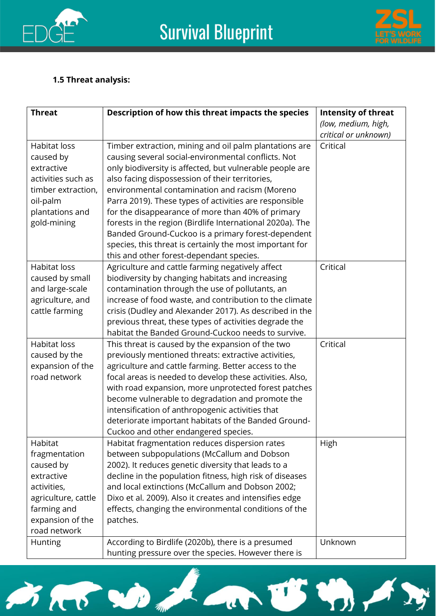



#### **1.5 Threat analysis:**

| <b>Threat</b>                                                                                                                                | Description of how this threat impacts the species                                                                                                                                                                                                                                                                                                                                                                                                                                                                                                                                                                       | <b>Intensity of threat</b> |
|----------------------------------------------------------------------------------------------------------------------------------------------|--------------------------------------------------------------------------------------------------------------------------------------------------------------------------------------------------------------------------------------------------------------------------------------------------------------------------------------------------------------------------------------------------------------------------------------------------------------------------------------------------------------------------------------------------------------------------------------------------------------------------|----------------------------|
|                                                                                                                                              |                                                                                                                                                                                                                                                                                                                                                                                                                                                                                                                                                                                                                          | (low, medium, high,        |
|                                                                                                                                              |                                                                                                                                                                                                                                                                                                                                                                                                                                                                                                                                                                                                                          | critical or unknown)       |
| <b>Habitat loss</b><br>caused by<br>extractive<br>activities such as<br>timber extraction,<br>oil-palm<br>plantations and<br>gold-mining     | Timber extraction, mining and oil palm plantations are<br>causing several social-environmental conflicts. Not<br>only biodiversity is affected, but vulnerable people are<br>also facing dispossession of their territories,<br>environmental contamination and racism (Moreno<br>Parra 2019). These types of activities are responsible<br>for the disappearance of more than 40% of primary<br>forests in the region (Birdlife International 2020a). The<br>Banded Ground-Cuckoo is a primary forest-dependent<br>species, this threat is certainly the most important for<br>this and other forest-dependant species. | Critical                   |
| <b>Habitat loss</b><br>caused by small<br>and large-scale<br>agriculture, and<br>cattle farming                                              | Agriculture and cattle farming negatively affect<br>biodiversity by changing habitats and increasing<br>contamination through the use of pollutants, an<br>increase of food waste, and contribution to the climate<br>crisis (Dudley and Alexander 2017). As described in the<br>previous threat, these types of activities degrade the<br>habitat the Banded Ground-Cuckoo needs to survive.                                                                                                                                                                                                                            | Critical                   |
| <b>Habitat loss</b><br>caused by the<br>expansion of the<br>road network                                                                     | This threat is caused by the expansion of the two<br>previously mentioned threats: extractive activities,<br>agriculture and cattle farming. Better access to the<br>focal areas is needed to develop these activities. Also,<br>with road expansion, more unprotected forest patches<br>become vulnerable to degradation and promote the<br>intensification of anthropogenic activities that<br>deteriorate important habitats of the Banded Ground-<br>Cuckoo and other endangered species.                                                                                                                            | Critical                   |
| Habitat<br>fragmentation<br>caused by<br>extractive<br>activities,<br>agriculture, cattle<br>farming and<br>expansion of the<br>road network | Habitat fragmentation reduces dispersion rates<br>between subpopulations (McCallum and Dobson<br>2002). It reduces genetic diversity that leads to a<br>decline in the population fitness, high risk of diseases<br>and local extinctions (McCallum and Dobson 2002;<br>Dixo et al. 2009). Also it creates and intensifies edge<br>effects, changing the environmental conditions of the<br>patches.                                                                                                                                                                                                                     | High                       |
| Hunting                                                                                                                                      | According to Birdlife (2020b), there is a presumed<br>hunting pressure over the species. However there is                                                                                                                                                                                                                                                                                                                                                                                                                                                                                                                | Unknown                    |

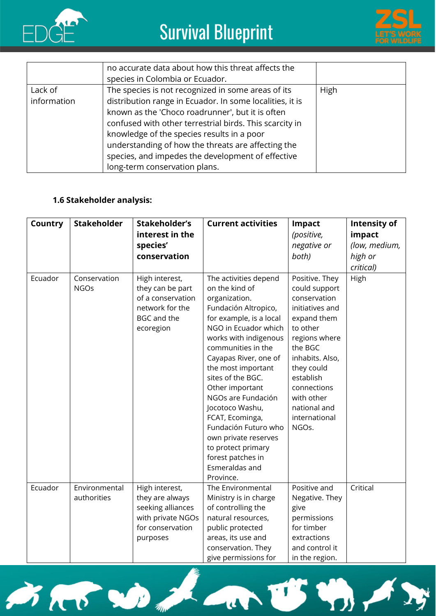



|             | no accurate data about how this threat affects the<br>species in Colombia or Ecuador. |             |
|-------------|---------------------------------------------------------------------------------------|-------------|
| Lack of     | The species is not recognized in some areas of its                                    | <b>High</b> |
| information | distribution range in Ecuador. In some localities, it is                              |             |
|             | known as the 'Choco roadrunner', but it is often                                      |             |
|             | confused with other terrestrial birds. This scarcity in                               |             |
|             | knowledge of the species results in a poor                                            |             |
|             | understanding of how the threats are affecting the                                    |             |
|             | species, and impedes the development of effective                                     |             |
|             | long-term conservation plans.                                                         |             |

#### **1.6 Stakeholder analysis:**

| Country | <b>Stakeholder</b>           | Stakeholder's<br>interest in the<br>species'<br>conservation                                                  | <b>Current activities</b>                                                                                                                                                                                                                                                                                                                                                                                                                                       | Impact<br>(positive,<br>negative or<br>both)                                                                                                                                                                                                   | <b>Intensity of</b><br>impact<br>(low, medium,<br>high or<br>critical) |
|---------|------------------------------|---------------------------------------------------------------------------------------------------------------|-----------------------------------------------------------------------------------------------------------------------------------------------------------------------------------------------------------------------------------------------------------------------------------------------------------------------------------------------------------------------------------------------------------------------------------------------------------------|------------------------------------------------------------------------------------------------------------------------------------------------------------------------------------------------------------------------------------------------|------------------------------------------------------------------------|
| Ecuador | Conservation<br><b>NGOs</b>  | High interest,<br>they can be part<br>of a conservation<br>network for the<br><b>BGC</b> and the<br>ecoregion | The activities depend<br>on the kind of<br>organization.<br>Fundación Altropico,<br>for example, is a local<br>NGO in Ecuador which<br>works with indigenous<br>communities in the<br>Cayapas River, one of<br>the most important<br>sites of the BGC.<br>Other important<br>NGOs are Fundación<br>Jocotoco Washu,<br>FCAT, Ecominga,<br>Fundación Futuro who<br>own private reserves<br>to protect primary<br>forest patches in<br>Esmeraldas and<br>Province. | Positive. They<br>could support<br>conservation<br>initiatives and<br>expand them<br>to other<br>regions where<br>the BGC<br>inhabits. Also,<br>they could<br>establish<br>connections<br>with other<br>national and<br>international<br>NGOs. | High                                                                   |
| Ecuador | Environmental<br>authorities | High interest,<br>they are always<br>seeking alliances<br>with private NGOs<br>for conservation<br>purposes   | The Environmental<br>Ministry is in charge<br>of controlling the<br>natural resources,<br>public protected<br>areas, its use and<br>conservation. They<br>give permissions for                                                                                                                                                                                                                                                                                  | Positive and<br>Negative. They<br>give<br>permissions<br>for timber<br>extractions<br>and control it<br>in the region.                                                                                                                         | Critical                                                               |

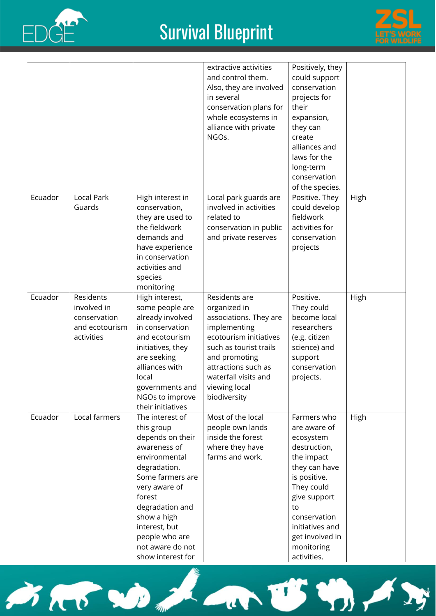



|         |                                                                          |                                                                                                                                                                                                                                                                 | extractive activities<br>and control them.<br>Also, they are involved<br>in several<br>conservation plans for<br>whole ecosystems in<br>alliance with private<br>NGOs.                                                       | Positively, they<br>could support<br>conservation<br>projects for<br>their<br>expansion,<br>they can<br>create<br>alliances and<br>laws for the<br>long-term<br>conservation<br>of the species.                                |      |
|---------|--------------------------------------------------------------------------|-----------------------------------------------------------------------------------------------------------------------------------------------------------------------------------------------------------------------------------------------------------------|------------------------------------------------------------------------------------------------------------------------------------------------------------------------------------------------------------------------------|--------------------------------------------------------------------------------------------------------------------------------------------------------------------------------------------------------------------------------|------|
| Ecuador | <b>Local Park</b><br>Guards                                              | High interest in<br>conservation,<br>they are used to<br>the fieldwork<br>demands and<br>have experience<br>in conservation<br>activities and<br>species<br>monitoring                                                                                          | Local park guards are<br>involved in activities<br>related to<br>conservation in public<br>and private reserves                                                                                                              | Positive. They<br>could develop<br>fieldwork<br>activities for<br>conservation<br>projects                                                                                                                                     | High |
| Ecuador | Residents<br>involved in<br>conservation<br>and ecotourism<br>activities | High interest,<br>some people are<br>already involved<br>in conservation<br>and ecotourism<br>initiatives, they<br>are seeking<br>alliances with<br>local<br>governments and<br>NGOs to improve<br>their initiatives                                            | Residents are<br>organized in<br>associations. They are<br>implementing<br>ecotourism initiatives<br>such as tourist trails<br>and promoting<br>attractions such as<br>waterfall visits and<br>viewing local<br>biodiversity | Positive.<br>They could<br>become local<br>researchers<br>(e.g. citizen<br>science) and<br>support<br>conservation<br>projects.                                                                                                | High |
| Ecuador | Local farmers                                                            | The interest of<br>this group<br>depends on their<br>awareness of<br>environmental<br>degradation.<br>Some farmers are<br>very aware of<br>forest<br>degradation and<br>show a high<br>interest, but<br>people who are<br>not aware do not<br>show interest for | Most of the local<br>people own lands<br>inside the forest<br>where they have<br>farms and work.                                                                                                                             | Farmers who<br>are aware of<br>ecosystem<br>destruction,<br>the impact<br>they can have<br>is positive.<br>They could<br>give support<br>to<br>conservation<br>initiatives and<br>get involved in<br>monitoring<br>activities. | High |

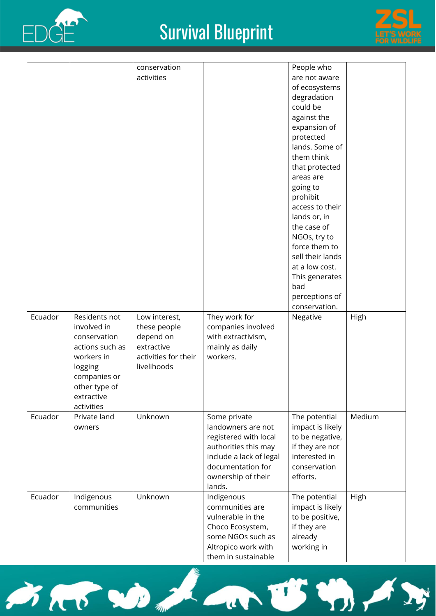



| Ecuador | Residents not                                                                                                                        | conservation<br>activities<br>Low interest,                                    | They work for                                                                                                                                                       | People who<br>are not aware<br>of ecosystems<br>degradation<br>could be<br>against the<br>expansion of<br>protected<br>lands. Some of<br>them think<br>that protected<br>areas are<br>going to<br>prohibit<br>access to their<br>lands or, in<br>the case of<br>NGOs, try to<br>force them to<br>sell their lands<br>at a low cost.<br>This generates<br>bad<br>perceptions of<br>conservation.<br>Negative | High   |
|---------|--------------------------------------------------------------------------------------------------------------------------------------|--------------------------------------------------------------------------------|---------------------------------------------------------------------------------------------------------------------------------------------------------------------|-------------------------------------------------------------------------------------------------------------------------------------------------------------------------------------------------------------------------------------------------------------------------------------------------------------------------------------------------------------------------------------------------------------|--------|
|         | involved in<br>conservation<br>actions such as<br>workers in<br>logging<br>companies or<br>other type of<br>extractive<br>activities | these people<br>depend on<br>extractive<br>activities for their<br>livelihoods | companies involved<br>with extractivism,<br>mainly as daily<br>workers.                                                                                             |                                                                                                                                                                                                                                                                                                                                                                                                             |        |
| Ecuador | Private land<br>owners                                                                                                               | Unknown                                                                        | Some private<br>landowners are not<br>registered with local<br>authorities this may<br>include a lack of legal<br>documentation for<br>ownership of their<br>lands. | The potential<br>impact is likely<br>to be negative,<br>if they are not<br>interested in<br>conservation<br>efforts.                                                                                                                                                                                                                                                                                        | Medium |
| Ecuador | Indigenous<br>communities                                                                                                            | Unknown                                                                        | Indigenous<br>communities are<br>vulnerable in the<br>Choco Ecosystem,<br>some NGOs such as<br>Altropico work with<br>tham in curtainahla                           | The potential<br>impact is likely<br>to be positive,<br>if they are<br>already<br>working in                                                                                                                                                                                                                                                                                                                | High   |

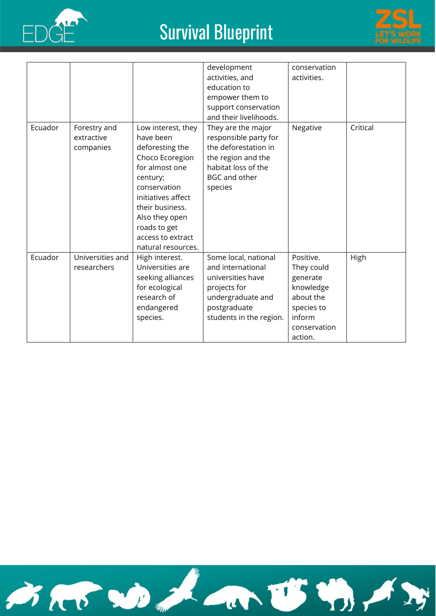



|         |                                         |                                                                                                                                                                                                                                           | development<br>activities, and<br>education to<br>empower them to<br>support conservation<br>and their livelihoods.                                 | conservation<br>activities.                                                                                      |          |
|---------|-----------------------------------------|-------------------------------------------------------------------------------------------------------------------------------------------------------------------------------------------------------------------------------------------|-----------------------------------------------------------------------------------------------------------------------------------------------------|------------------------------------------------------------------------------------------------------------------|----------|
| Ecuador | Forestry and<br>extractive<br>companies | Low interest, they<br>have been<br>deforesting the<br>Choco Ecoregion<br>for almost one<br>century;<br>conservation<br>initiatives affect<br>their business.<br>Also they open<br>roads to get<br>access to extract<br>natural resources. | They are the major<br>responsible party for<br>the deforestation in<br>the region and the<br>habitat loss of the<br><b>BGC and other</b><br>species | Negative                                                                                                         | Critical |
| Ecuador | Universities and<br>researchers         | High interest.<br>Universities are<br>seeking alliances<br>for ecological<br>research of<br>endangered<br>species.                                                                                                                        | Some local, national<br>and international<br>universities have<br>projects for<br>undergraduate and<br>postgraduate<br>students in the region.      | Positive.<br>They could<br>generate<br>knowledge<br>about the<br>species to<br>inform<br>conservation<br>action. | High     |

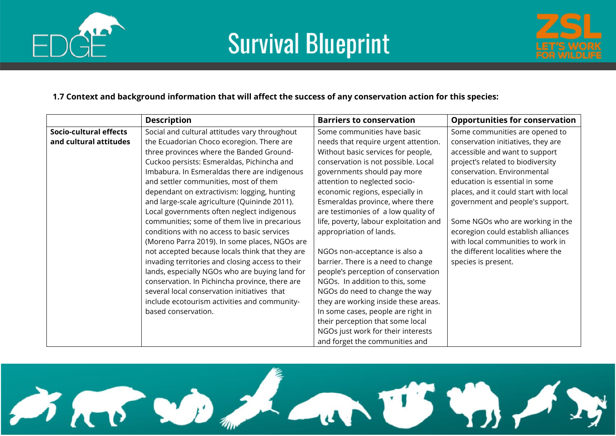





#### **1.7 Context and background information that will affect the success of any conservation action for this species:**

|                        | <b>Description</b>                               | <b>Barriers to conservation</b>        | <b>Opportunities for conservation</b> |
|------------------------|--------------------------------------------------|----------------------------------------|---------------------------------------|
| Socio-cultural effects | Social and cultural attitudes vary throughout    | Some communities have basic            | Some communities are opened to        |
| and cultural attitudes | the Ecuadorian Choco ecoregion. There are        | needs that require urgent attention.   | conservation initiatives, they are    |
|                        | three provinces where the Banded Ground-         | Without basic services for people,     | accessible and want to support        |
|                        | Cuckoo persists: Esmeraldas, Pichincha and       | conservation is not possible. Local    | project's related to biodiversity     |
|                        | Imbabura. In Esmeraldas there are indigenous     | governments should pay more            | conservation. Environmental           |
|                        | and settler communities, most of them            | attention to neglected socio-          | education is essential in some        |
|                        | dependant on extractivism: logging, hunting      | economic regions, especially in        | places, and it could start with local |
|                        | and large-scale agriculture (Quininde 2011).     | Esmeraldas province, where there       | government and people's support.      |
|                        | Local governments often neglect indigenous       | are testimonies of a low quality of    |                                       |
|                        | communities; some of them live in precarious     | life, poverty, labour exploitation and | Some NGOs who are working in the      |
|                        | conditions with no access to basic services      | appropriation of lands.                | ecoregion could establish alliances   |
|                        | (Moreno Parra 2019). In some places, NGOs are    |                                        | with local communities to work in     |
|                        | not accepted because locals think that they are  | NGOs non-acceptance is also a          | the different localities where the    |
|                        | invading territories and closing access to their | barrier. There is a need to change     | species is present.                   |
|                        | lands, especially NGOs who are buying land for   | people's perception of conservation    |                                       |
|                        | conservation. In Pichincha province, there are   | NGOs. In addition to this, some        |                                       |
|                        | several local conservation initiatives that      | NGOs do need to change the way         |                                       |
|                        | include ecotourism activities and community-     | they are working inside these areas.   |                                       |
|                        | based conservation.                              | In some cases, people are right in     |                                       |
|                        |                                                  | their perception that some local       |                                       |
|                        |                                                  | NGOs just work for their interests     |                                       |
|                        |                                                  | and forget the communities and         |                                       |

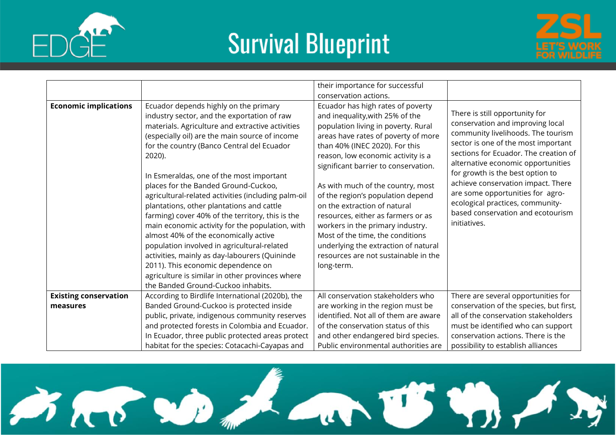





|                              |                                                                                                                                                                                                                                                                                                                                                                                                                                                                                                                                                                                                                                                                                                                                                                                                                           | their importance for successful<br>conservation actions.                                                                                                                                                                                                                                                                                                                                                                                                                                                                                                                                 |                                                                                                                                                                                                                                                                                                                                                                                                                                       |
|------------------------------|---------------------------------------------------------------------------------------------------------------------------------------------------------------------------------------------------------------------------------------------------------------------------------------------------------------------------------------------------------------------------------------------------------------------------------------------------------------------------------------------------------------------------------------------------------------------------------------------------------------------------------------------------------------------------------------------------------------------------------------------------------------------------------------------------------------------------|------------------------------------------------------------------------------------------------------------------------------------------------------------------------------------------------------------------------------------------------------------------------------------------------------------------------------------------------------------------------------------------------------------------------------------------------------------------------------------------------------------------------------------------------------------------------------------------|---------------------------------------------------------------------------------------------------------------------------------------------------------------------------------------------------------------------------------------------------------------------------------------------------------------------------------------------------------------------------------------------------------------------------------------|
| <b>Economic implications</b> | Ecuador depends highly on the primary<br>industry sector, and the exportation of raw<br>materials. Agriculture and extractive activities<br>(especially oil) are the main source of income<br>for the country (Banco Central del Ecuador<br>2020).<br>In Esmeraldas, one of the most important<br>places for the Banded Ground-Cuckoo,<br>agricultural-related activities (including palm-oil<br>plantations, other plantations and cattle<br>farming) cover 40% of the territory, this is the<br>main economic activity for the population, with<br>almost 40% of the economically active<br>population involved in agricultural-related<br>activities, mainly as day-labourers (Quininde<br>2011). This economic dependence on<br>agriculture is similar in other provinces where<br>the Banded Ground-Cuckoo inhabits. | Ecuador has high rates of poverty<br>and inequality, with 25% of the<br>population living in poverty. Rural<br>areas have rates of poverty of more<br>than 40% (INEC 2020). For this<br>reason, low economic activity is a<br>significant barrier to conservation.<br>As with much of the country, most<br>of the region's population depend<br>on the extraction of natural<br>resources, either as farmers or as<br>workers in the primary industry.<br>Most of the time, the conditions<br>underlying the extraction of natural<br>resources are not sustainable in the<br>long-term. | There is still opportunity for<br>conservation and improving local<br>community livelihoods. The tourism<br>sector is one of the most important<br>sections for Ecuador. The creation of<br>alternative economic opportunities<br>for growth is the best option to<br>achieve conservation impact. There<br>are some opportunities for agro-<br>ecological practices, community-<br>based conservation and ecotourism<br>initiatives. |
| <b>Existing conservation</b> | According to Birdlife International (2020b), the                                                                                                                                                                                                                                                                                                                                                                                                                                                                                                                                                                                                                                                                                                                                                                          | All conservation stakeholders who                                                                                                                                                                                                                                                                                                                                                                                                                                                                                                                                                        | There are several opportunities for                                                                                                                                                                                                                                                                                                                                                                                                   |
| measures                     | Banded Ground-Cuckoo is protected inside<br>public, private, indigenous community reserves                                                                                                                                                                                                                                                                                                                                                                                                                                                                                                                                                                                                                                                                                                                                | are working in the region must be<br>identified. Not all of them are aware                                                                                                                                                                                                                                                                                                                                                                                                                                                                                                               | conservation of the species, but first,<br>all of the conservation stakeholders                                                                                                                                                                                                                                                                                                                                                       |
|                              | and protected forests in Colombia and Ecuador.                                                                                                                                                                                                                                                                                                                                                                                                                                                                                                                                                                                                                                                                                                                                                                            | of the conservation status of this                                                                                                                                                                                                                                                                                                                                                                                                                                                                                                                                                       | must be identified who can support                                                                                                                                                                                                                                                                                                                                                                                                    |
|                              | In Ecuador, three public protected areas protect                                                                                                                                                                                                                                                                                                                                                                                                                                                                                                                                                                                                                                                                                                                                                                          | and other endangered bird species.<br>Public environmental authorities are                                                                                                                                                                                                                                                                                                                                                                                                                                                                                                               | conservation actions. There is the                                                                                                                                                                                                                                                                                                                                                                                                    |
|                              | habitat for the species: Cotacachi-Cayapas and                                                                                                                                                                                                                                                                                                                                                                                                                                                                                                                                                                                                                                                                                                                                                                            |                                                                                                                                                                                                                                                                                                                                                                                                                                                                                                                                                                                          | possibility to establish alliances                                                                                                                                                                                                                                                                                                                                                                                                    |

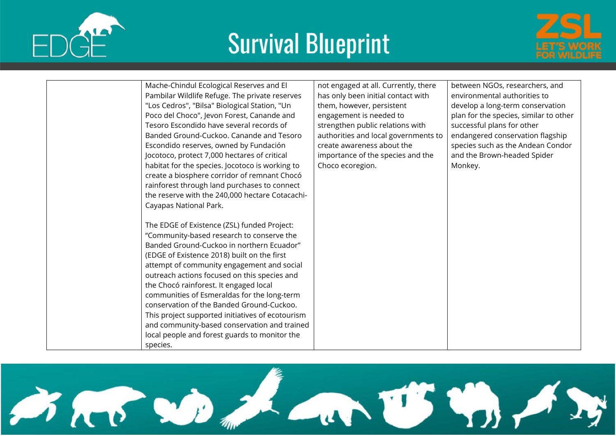



|  | Mache-Chindul Ecological Reserves and El         | not engaged at all. Currently, there | between NGOs, researchers, and         |
|--|--------------------------------------------------|--------------------------------------|----------------------------------------|
|  | Pambilar Wildlife Refuge. The private reserves   | has only been initial contact with   | environmental authorities to           |
|  | "Los Cedros", "Bilsa" Biological Station, "Un    | them, however, persistent            | develop a long-term conservation       |
|  | Poco del Choco", Jevon Forest, Canande and       | engagement is needed to              | plan for the species, similar to other |
|  | Tesoro Escondido have several records of         | strengthen public relations with     | successful plans for other             |
|  | Banded Ground-Cuckoo. Canande and Tesoro         | authorities and local governments to | endangered conservation flagship       |
|  | Escondido reserves, owned by Fundación           | create awareness about the           | species such as the Andean Condor      |
|  | Jocotoco, protect 7,000 hectares of critical     | importance of the species and the    | and the Brown-headed Spider            |
|  | habitat for the species. Jocotoco is working to  | Choco ecoregion.                     | Monkey.                                |
|  | create a biosphere corridor of remnant Chocó     |                                      |                                        |
|  | rainforest through land purchases to connect     |                                      |                                        |
|  | the reserve with the 240,000 hectare Cotacachi-  |                                      |                                        |
|  | Cayapas National Park.                           |                                      |                                        |
|  |                                                  |                                      |                                        |
|  | The EDGE of Existence (ZSL) funded Project:      |                                      |                                        |
|  | "Community-based research to conserve the        |                                      |                                        |
|  | Banded Ground-Cuckoo in northern Ecuador"        |                                      |                                        |
|  | (EDGE of Existence 2018) built on the first      |                                      |                                        |
|  | attempt of community engagement and social       |                                      |                                        |
|  | outreach actions focused on this species and     |                                      |                                        |
|  | the Chocó rainforest. It engaged local           |                                      |                                        |
|  | communities of Esmeraldas for the long-term      |                                      |                                        |
|  | conservation of the Banded Ground-Cuckoo.        |                                      |                                        |
|  | This project supported initiatives of ecotourism |                                      |                                        |
|  | and community-based conservation and trained     |                                      |                                        |
|  | local people and forest guards to monitor the    |                                      |                                        |
|  | species.                                         |                                      |                                        |

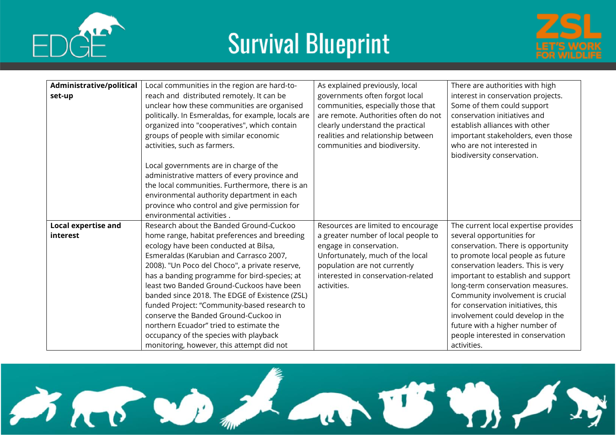





| Administrative/political   | Local communities in the region are hard-to-        | As explained previously, local       | There are authorities with high      |
|----------------------------|-----------------------------------------------------|--------------------------------------|--------------------------------------|
| set-up                     | reach and distributed remotely. It can be           | governments often forgot local       | interest in conservation projects.   |
|                            | unclear how these communities are organised         | communities, especially those that   | Some of them could support           |
|                            | politically. In Esmeraldas, for example, locals are | are remote. Authorities often do not | conservation initiatives and         |
|                            | organized into "cooperatives", which contain        | clearly understand the practical     | establish alliances with other       |
|                            | groups of people with similar economic              | realities and relationship between   | important stakeholders, even those   |
|                            | activities, such as farmers.                        | communities and biodiversity.        | who are not interested in            |
|                            |                                                     |                                      | biodiversity conservation.           |
|                            | Local governments are in charge of the              |                                      |                                      |
|                            | administrative matters of every province and        |                                      |                                      |
|                            | the local communities. Furthermore, there is an     |                                      |                                      |
|                            | environmental authority department in each          |                                      |                                      |
|                            | province who control and give permission for        |                                      |                                      |
|                            | environmental activities.                           |                                      |                                      |
| <b>Local expertise and</b> | Research about the Banded Ground-Cuckoo             | Resources are limited to encourage   | The current local expertise provides |
| interest                   | home range, habitat preferences and breeding        | a greater number of local people to  | several opportunities for            |
|                            | ecology have been conducted at Bilsa,               | engage in conservation.              | conservation. There is opportunity   |
|                            | Esmeraldas (Karubian and Carrasco 2007,             | Unfortunately, much of the local     | to promote local people as future    |
|                            | 2008). "Un Poco del Choco", a private reserve,      | population are not currently         | conservation leaders. This is very   |
|                            | has a banding programme for bird-species; at        | interested in conservation-related   | important to establish and support   |
|                            | least two Banded Ground-Cuckoos have been           | activities.                          | long-term conservation measures.     |
|                            | banded since 2018. The EDGE of Existence (ZSL)      |                                      | Community involvement is crucial     |
|                            | funded Project: "Community-based research to        |                                      | for conservation initiatives, this   |
|                            | conserve the Banded Ground-Cuckoo in                |                                      | involvement could develop in the     |
|                            | northern Ecuador" tried to estimate the             |                                      | future with a higher number of       |
|                            | occupancy of the species with playback              |                                      | people interested in conservation    |
|                            | monitoring, however, this attempt did not           |                                      | activities.                          |

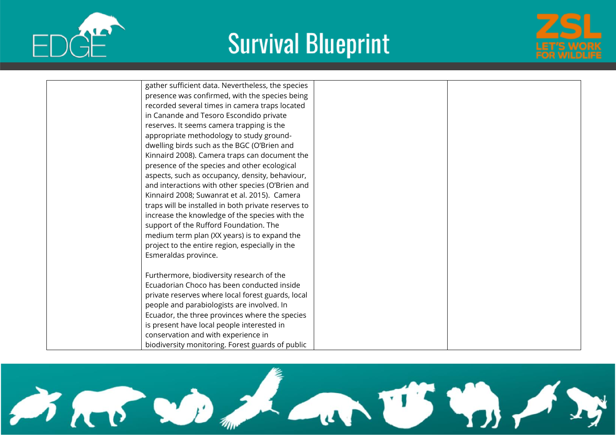





| gather sufficient data. Nevertheless, the species   |
|-----------------------------------------------------|
| presence was confirmed, with the species being      |
| recorded several times in camera traps located      |
| in Canande and Tesoro Escondido private             |
| reserves. It seems camera trapping is the           |
| appropriate methodology to study ground-            |
| dwelling birds such as the BGC (O'Brien and         |
| Kinnaird 2008). Camera traps can document the       |
| presence of the species and other ecological        |
| aspects, such as occupancy, density, behaviour,     |
| and interactions with other species (O'Brien and    |
| Kinnaird 2008; Suwanrat et al. 2015). Camera        |
| traps will be installed in both private reserves to |
| increase the knowledge of the species with the      |
| support of the Rufford Foundation. The              |
| medium term plan (XX years) is to expand the        |
| project to the entire region, especially in the     |
| Esmeraldas province.                                |
| Furthermore, biodiversity research of the           |
| Ecuadorian Choco has been conducted inside          |
| private reserves where local forest guards, local   |
| people and parabiologists are involved. In          |
| Ecuador, the three provinces where the species      |
| is present have local people interested in          |
| conservation and with experience in                 |
| biodiversity monitoring. Forest guards of public    |

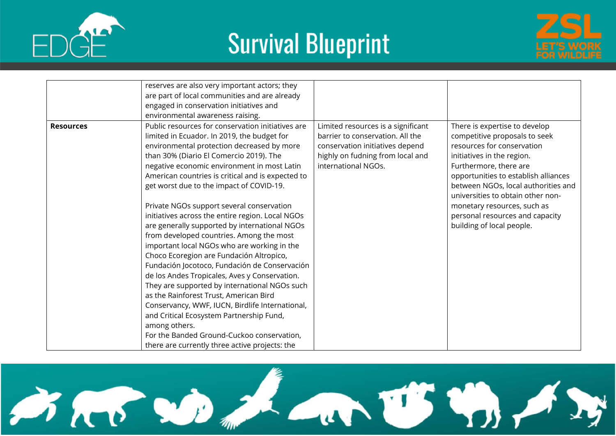





|                  | reserves are also very important actors; they<br>are part of local communities and are already<br>engaged in conservation initiatives and<br>environmental awareness raising.                                                                                                                                                                                                                                                                                                                                                                                                                                                                                                                                                                                                                                                                                                                                                                                                                                                                   |                                                                                                                                                                      |                                                                                                                                                                                                                                                                                                                                                                         |
|------------------|-------------------------------------------------------------------------------------------------------------------------------------------------------------------------------------------------------------------------------------------------------------------------------------------------------------------------------------------------------------------------------------------------------------------------------------------------------------------------------------------------------------------------------------------------------------------------------------------------------------------------------------------------------------------------------------------------------------------------------------------------------------------------------------------------------------------------------------------------------------------------------------------------------------------------------------------------------------------------------------------------------------------------------------------------|----------------------------------------------------------------------------------------------------------------------------------------------------------------------|-------------------------------------------------------------------------------------------------------------------------------------------------------------------------------------------------------------------------------------------------------------------------------------------------------------------------------------------------------------------------|
| <b>Resources</b> | Public resources for conservation initiatives are<br>limited in Ecuador. In 2019, the budget for<br>environmental protection decreased by more<br>than 30% (Diario El Comercio 2019). The<br>negative economic environment in most Latin<br>American countries is critical and is expected to<br>get worst due to the impact of COVID-19.<br>Private NGOs support several conservation<br>initiatives across the entire region. Local NGOs<br>are generally supported by international NGOs<br>from developed countries. Among the most<br>important local NGOs who are working in the<br>Choco Ecoregion are Fundación Altropico,<br>Fundación Jocotoco, Fundación de Conservación<br>de los Andes Tropicales, Aves y Conservation.<br>They are supported by international NGOs such<br>as the Rainforest Trust, American Bird<br>Conservancy, WWF, IUCN, Birdlife International,<br>and Critical Ecosystem Partnership Fund,<br>among others.<br>For the Banded Ground-Cuckoo conservation,<br>there are currently three active projects: the | Limited resources is a significant<br>barrier to conservation. All the<br>conservation initiatives depend<br>highly on fudning from local and<br>international NGOs. | There is expertise to develop<br>competitive proposals to seek<br>resources for conservation<br>initiatives in the region.<br>Furthermore, there are<br>opportunities to establish alliances<br>between NGOs, local authorities and<br>universities to obtain other non-<br>monetary resources, such as<br>personal resources and capacity<br>building of local people. |

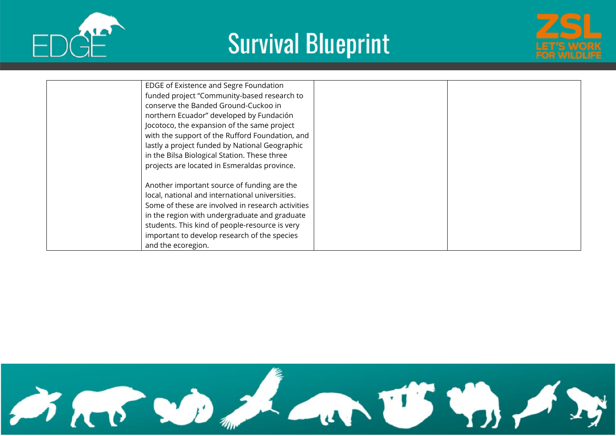





| EDGE of Existence and Segre Foundation<br>funded project "Community-based research to<br>conserve the Banded Ground-Cuckoo in<br>northern Ecuador" developed by Fundación<br>Jocotoco, the expansion of the same project<br>with the support of the Rufford Foundation, and<br>lastly a project funded by National Geographic<br>in the Bilsa Biological Station. These three |  |
|-------------------------------------------------------------------------------------------------------------------------------------------------------------------------------------------------------------------------------------------------------------------------------------------------------------------------------------------------------------------------------|--|
| projects are located in Esmeraldas province.<br>Another important source of funding are the<br>local, national and international universities.<br>Some of these are involved in research activities<br>in the region with undergraduate and graduate<br>students. This kind of people-resource is very<br>important to develop research of the species<br>and the ecoregion.  |  |

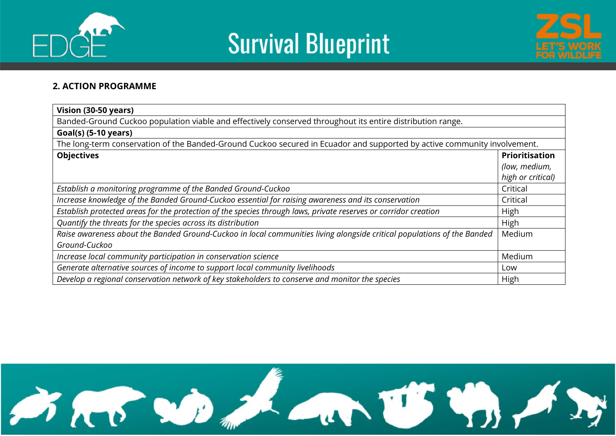





#### **2. ACTION PROGRAMME**

| Vision (30-50 years)                                                                                                     |                       |  |  |  |  |  |  |
|--------------------------------------------------------------------------------------------------------------------------|-----------------------|--|--|--|--|--|--|
| Banded-Ground Cuckoo population viable and effectively conserved throughout its entire distribution range.               |                       |  |  |  |  |  |  |
| Goal(s) (5-10 years)                                                                                                     |                       |  |  |  |  |  |  |
| The long-term conservation of the Banded-Ground Cuckoo secured in Ecuador and supported by active community involvement. |                       |  |  |  |  |  |  |
| <b>Objectives</b>                                                                                                        | <b>Prioritisation</b> |  |  |  |  |  |  |
|                                                                                                                          | (low, medium,         |  |  |  |  |  |  |
|                                                                                                                          | high or critical)     |  |  |  |  |  |  |
| Establish a monitoring programme of the Banded Ground-Cuckoo                                                             | Critical              |  |  |  |  |  |  |
| Increase knowledge of the Banded Ground-Cuckoo essential for raising awareness and its conservation                      | Critical              |  |  |  |  |  |  |
| Establish protected areas for the protection of the species through laws, private reserves or corridor creation          | High                  |  |  |  |  |  |  |
| Quantify the threats for the species across its distribution                                                             | High                  |  |  |  |  |  |  |
| Raise awareness about the Banded Ground-Cuckoo in local communities living alongside critical populations of the Banded  | Medium                |  |  |  |  |  |  |
| Ground-Cuckoo                                                                                                            |                       |  |  |  |  |  |  |
| Medium<br>Increase local community participation in conservation science                                                 |                       |  |  |  |  |  |  |
| Generate alternative sources of income to support local community livelihoods                                            | Low                   |  |  |  |  |  |  |
| Develop a regional conservation network of key stakeholders to conserve and monitor the species                          | High                  |  |  |  |  |  |  |

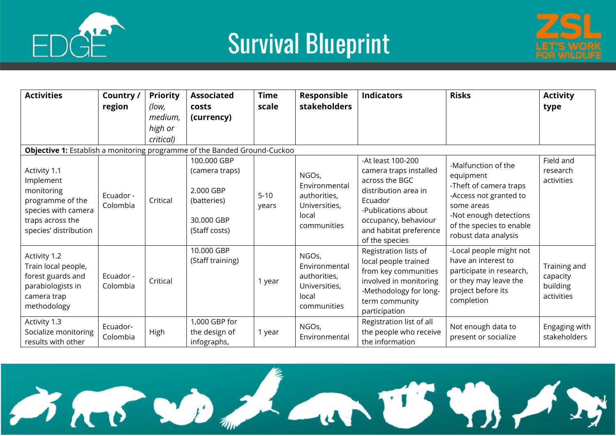





| <b>Activities</b>                                                                                               | Country /<br>region   | <b>Priority</b><br>(low, | <b>Associated</b><br><b>costs</b>                       | <b>Time</b><br>scale | Responsible<br><b>stakeholders</b>                                              | <b>Indicators</b>                                                                                                                                            | <b>Risks</b>                                                                                                                                 | <b>Activity</b><br>type                            |
|-----------------------------------------------------------------------------------------------------------------|-----------------------|--------------------------|---------------------------------------------------------|----------------------|---------------------------------------------------------------------------------|--------------------------------------------------------------------------------------------------------------------------------------------------------------|----------------------------------------------------------------------------------------------------------------------------------------------|----------------------------------------------------|
|                                                                                                                 |                       | medium,                  | (currency)                                              |                      |                                                                                 |                                                                                                                                                              |                                                                                                                                              |                                                    |
|                                                                                                                 |                       | high or                  |                                                         |                      |                                                                                 |                                                                                                                                                              |                                                                                                                                              |                                                    |
|                                                                                                                 |                       | critical)                |                                                         |                      |                                                                                 |                                                                                                                                                              |                                                                                                                                              |                                                    |
| Objective 1: Establish a monitoring programme of the Banded Ground-Cuckoo                                       |                       |                          |                                                         |                      |                                                                                 |                                                                                                                                                              |                                                                                                                                              |                                                    |
|                                                                                                                 |                       |                          | 100.000 GBP                                             |                      |                                                                                 | -At least 100-200                                                                                                                                            | -Malfunction of the                                                                                                                          | Field and                                          |
| Activity 1.1                                                                                                    |                       |                          | (camera traps)                                          |                      | NGOs,                                                                           | camera traps installed                                                                                                                                       | equipment                                                                                                                                    | research                                           |
| Implement<br>monitoring<br>programme of the<br>species with camera<br>traps across the<br>species' distribution | Ecuador -<br>Colombia | Critical                 | 2.000 GBP<br>(batteries)<br>30.000 GBP<br>(Staff costs) | $5-10$<br>years      | Environmental<br>authorities,<br>Universities,<br>local<br>communities          | across the BGC<br>distribution area in<br>Ecuador<br>-Publications about<br>occupancy, behaviour<br>and habitat preference<br>of the species                 | -Theft of camera traps<br>-Access not granted to<br>some areas<br>-Not enough detections<br>of the species to enable<br>robust data analysis | activities                                         |
| Activity 1.2<br>Train local people,<br>forest guards and<br>parabiologists in<br>camera trap<br>methodology     | Ecuador -<br>Colombia | Critical                 | 10.000 GBP<br>(Staff training)                          | 1 year               | NGOs,<br>Environmental<br>authorities,<br>Universities,<br>local<br>communities | Registration lists of<br>local people trained<br>from key communities<br>involved in monitoring<br>-Methodology for long-<br>term community<br>participation | -Local people might not<br>have an interest to<br>participate in research,<br>or they may leave the<br>project before its<br>completion      | Training and<br>capacity<br>building<br>activities |
| Activity 1.3<br>Socialize monitoring<br>results with other                                                      | Ecuador-<br>Colombia  | High                     | 1,000 GBP for<br>the design of<br>infographs,           | 1 year               | NGOs,<br>Environmental                                                          | Registration list of all<br>the people who receive<br>the information                                                                                        | Not enough data to<br>present or socialize                                                                                                   | Engaging with<br>stakeholders                      |

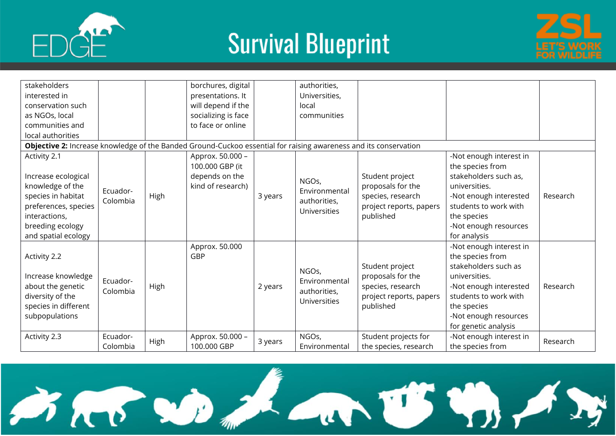





| stakeholders<br>interested in<br>conservation such<br>as NGOs, local<br>communities and                                                                           |                                  |             | borchures, digital<br>presentations. It<br>will depend if the<br>socializing is face<br>to face or online |         | authorities,<br>Universities,<br>local<br>communities           |                                                                                                   |                                                                                                                                                                                                         |          |
|-------------------------------------------------------------------------------------------------------------------------------------------------------------------|----------------------------------|-------------|-----------------------------------------------------------------------------------------------------------|---------|-----------------------------------------------------------------|---------------------------------------------------------------------------------------------------|---------------------------------------------------------------------------------------------------------------------------------------------------------------------------------------------------------|----------|
| local authorities                                                                                                                                                 |                                  |             |                                                                                                           |         |                                                                 |                                                                                                   |                                                                                                                                                                                                         |          |
| Objective 2: Increase knowledge of the Banded Ground-Cuckoo essential for raising awareness and its conservation                                                  |                                  |             |                                                                                                           |         |                                                                 |                                                                                                   |                                                                                                                                                                                                         |          |
| Activity 2.1<br>Increase ecological<br>knowledge of the<br>species in habitat<br>preferences, species<br>interactions,<br>breeding ecology<br>and spatial ecology | Ecuador-<br>Colombia             | <b>High</b> | Approx. 50.000 -<br>100.000 GBP (it<br>depends on the<br>kind of research)                                | 3 years | NGOs,<br>Environmental<br>authorities,<br><b>Universities</b>   | Student project<br>proposals for the<br>species, research<br>project reports, papers<br>published | -Not enough interest in<br>the species from<br>stakeholders such as,<br>universities.<br>-Not enough interested<br>students to work with<br>the species<br>-Not enough resources<br>for analysis        | Research |
| Activity 2.2<br>Increase knowledge<br>about the genetic<br>diversity of the<br>species in different<br>subpopulations                                             | Ecuador-<br>Colombia<br>Ecuador- | High        | Approx. 50.000<br>GBP                                                                                     | 2 years | NGOs,<br>Environmental<br>authorities,<br>Universities<br>NGOs, | Student project<br>proposals for the<br>species, research<br>project reports, papers<br>published | -Not enough interest in<br>the species from<br>stakeholders such as<br>universities.<br>-Not enough interested<br>students to work with<br>the species<br>-Not enough resources<br>for genetic analysis | Research |
| Activity 2.3                                                                                                                                                      | Colombia                         | High        | Approx. 50.000 -<br>100.000 GBP                                                                           | 3 years | Environmental                                                   | Student projects for<br>the species, research                                                     | -Not enough interest in<br>the species from                                                                                                                                                             | Research |

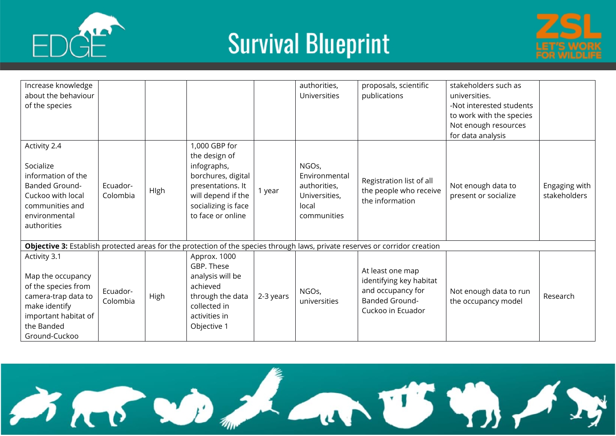





| Increase knowledge<br>about the behaviour<br>of the species                                                                                             |                      |             |                                                                                                                                                            |           | authorities,<br><b>Universities</b>                                             | proposals, scientific<br>publications                                                                                        | stakeholders such as<br>universities.<br>-Not interested students<br>to work with the species<br>Not enough resources<br>for data analysis |                               |
|---------------------------------------------------------------------------------------------------------------------------------------------------------|----------------------|-------------|------------------------------------------------------------------------------------------------------------------------------------------------------------|-----------|---------------------------------------------------------------------------------|------------------------------------------------------------------------------------------------------------------------------|--------------------------------------------------------------------------------------------------------------------------------------------|-------------------------------|
| Activity 2.4<br>Socialize<br>information of the<br><b>Banded Ground-</b><br>Cuckoo with local<br>communities and<br>environmental<br>authorities        | Ecuador-<br>Colombia | High        | 1,000 GBP for<br>the design of<br>infographs,<br>borchures, digital<br>presentations. It<br>will depend if the<br>socializing is face<br>to face or online | 1 year    | NGOs,<br>Environmental<br>authorities,<br>Universities,<br>local<br>communities | Registration list of all<br>the people who receive<br>the information                                                        | Not enough data to<br>present or socialize                                                                                                 | Engaging with<br>stakeholders |
|                                                                                                                                                         |                      |             |                                                                                                                                                            |           |                                                                                 | Objective 3: Establish protected areas for the protection of the species through laws, private reserves or corridor creation |                                                                                                                                            |                               |
| Activity 3.1<br>Map the occupancy<br>of the species from<br>camera-trap data to<br>make identify<br>important habitat of<br>the Banded<br>Ground-Cuckoo | Ecuador-<br>Colombia | <b>High</b> | Approx. 1000<br>GBP. These<br>analysis will be<br>achieved<br>through the data<br>collected in<br>activities in<br>Objective 1                             | 2-3 years | NGOs,<br>universities                                                           | At least one map<br>identifying key habitat<br>and occupancy for<br><b>Banded Ground-</b><br>Cuckoo in Ecuador               | Not enough data to run<br>the occupancy model                                                                                              | Research                      |

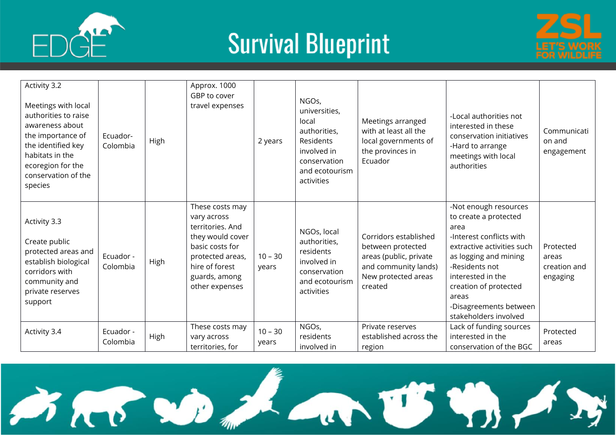



| Activity 3.2<br>Meetings with local<br>authorities to raise<br>awareness about<br>the importance of<br>the identified key<br>habitats in the<br>ecoregion for the<br>conservation of the<br>species | Ecuador-<br>Colombia  | High | Approx. 1000<br>GBP to cover<br>travel expenses                                                                                                                    | 2 years            | NGOs,<br>universities,<br>local<br>authorities,<br>Residents<br>involved in<br>conservation<br>and ecotourism<br>activities | Meetings arranged<br>with at least all the<br>local governments of<br>the provinces in<br>Ecuador                              | -Local authorities not<br>interested in these<br>conservation initiatives<br>-Hard to arrange<br>meetings with local<br>authorities                                                                                                                                   | Communicati<br>on and<br>engagement            |
|-----------------------------------------------------------------------------------------------------------------------------------------------------------------------------------------------------|-----------------------|------|--------------------------------------------------------------------------------------------------------------------------------------------------------------------|--------------------|-----------------------------------------------------------------------------------------------------------------------------|--------------------------------------------------------------------------------------------------------------------------------|-----------------------------------------------------------------------------------------------------------------------------------------------------------------------------------------------------------------------------------------------------------------------|------------------------------------------------|
| Activity 3.3<br>Create public<br>protected areas and<br>establish biological<br>corridors with<br>community and<br>private reserves<br>support                                                      | Ecuador -<br>Colombia | High | These costs may<br>vary across<br>territories. And<br>they would cover<br>basic costs for<br>protected areas,<br>hire of forest<br>guards, among<br>other expenses | $10 - 30$<br>years | NGOs, local<br>authorities,<br>residents<br>involved in<br>conservation<br>and ecotourism<br>activities                     | Corridors established<br>between protected<br>areas (public, private<br>and community lands)<br>New protected areas<br>created | -Not enough resources<br>to create a protected<br>area<br>-Interest conflicts with<br>extractive activities such<br>as logging and mining<br>-Residents not<br>interested in the<br>creation of protected<br>areas<br>-Disagreements between<br>stakeholders involved | Protected<br>areas<br>creation and<br>engaging |
| Activity 3.4                                                                                                                                                                                        | Ecuador -<br>Colombia | High | These costs may<br>vary across<br>territories, for                                                                                                                 | $10 - 30$<br>years | NGOs,<br>residents<br>involved in                                                                                           | Private reserves<br>established across the<br>region                                                                           | Lack of funding sources<br>interested in the<br>conservation of the BGC                                                                                                                                                                                               | Protected<br>areas                             |

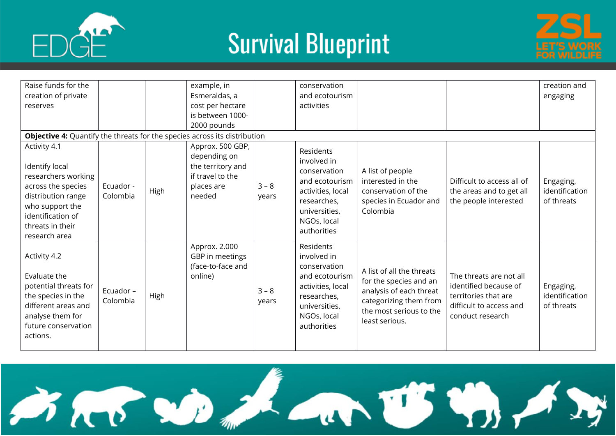



| Raise funds for the<br>creation of private<br>reserves                                                                                                                         |                       |             | example, in<br>Esmeraldas, a<br>cost per hectare                                                  |                  | conservation<br>and ecotourism<br>activities                                                                                                  |                                                                                                                                                       |                                                                                                                         | creation and<br>engaging                  |
|--------------------------------------------------------------------------------------------------------------------------------------------------------------------------------|-----------------------|-------------|---------------------------------------------------------------------------------------------------|------------------|-----------------------------------------------------------------------------------------------------------------------------------------------|-------------------------------------------------------------------------------------------------------------------------------------------------------|-------------------------------------------------------------------------------------------------------------------------|-------------------------------------------|
|                                                                                                                                                                                |                       |             | is between 1000-<br>2000 pounds                                                                   |                  |                                                                                                                                               |                                                                                                                                                       |                                                                                                                         |                                           |
| <b>Objective 4:</b> Quantify the threats for the species across its distribution                                                                                               |                       |             |                                                                                                   |                  |                                                                                                                                               |                                                                                                                                                       |                                                                                                                         |                                           |
| Activity 4.1<br>Identify local<br>researchers working<br>across the species<br>distribution range<br>who support the<br>identification of<br>threats in their<br>research area | Ecuador -<br>Colombia | High        | Approx. 500 GBP,<br>depending on<br>the territory and<br>if travel to the<br>places are<br>needed | $3 - 8$<br>years | Residents<br>involved in<br>conservation<br>and ecotourism<br>activities, local<br>researches,<br>universities,<br>NGOs, local<br>authorities | A list of people<br>interested in the<br>conservation of the<br>species in Ecuador and<br>Colombia                                                    | Difficult to access all of<br>the areas and to get all<br>the people interested                                         | Engaging,<br>identification<br>of threats |
| Activity 4.2<br>Evaluate the<br>potential threats for<br>the species in the<br>different areas and<br>analyse them for<br>future conservation<br>actions.                      | Ecuador -<br>Colombia | <b>High</b> | Approx. 2.000<br>GBP in meetings<br>(face-to-face and<br>online)                                  | $3 - 8$<br>years | Residents<br>involved in<br>conservation<br>and ecotourism<br>activities, local<br>researches,<br>universities,<br>NGOs, local<br>authorities | A list of all the threats<br>for the species and an<br>analysis of each threat<br>categorizing them from<br>the most serious to the<br>least serious. | The threats are not all<br>identified because of<br>territories that are<br>difficult to access and<br>conduct research | Engaging,<br>identification<br>of threats |

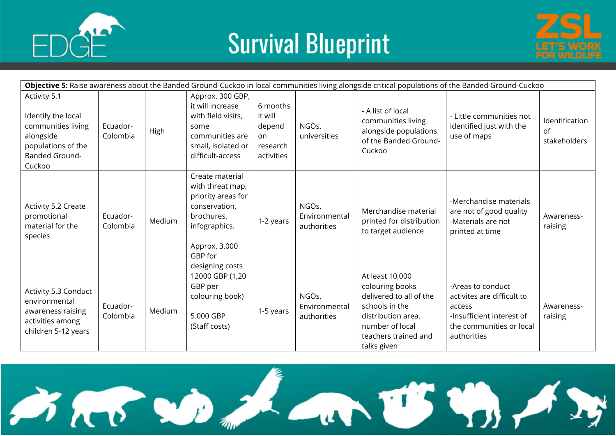





| Objective 5: Raise awareness about the Banded Ground-Cuckoo in local communities living alongside critical populations of the Banded Ground-Cuckoo |                      |        |                                                                                                                                                          |                                                               |                                       |                                                                                                                                                                 |                                                                                                                                   |                                      |
|----------------------------------------------------------------------------------------------------------------------------------------------------|----------------------|--------|----------------------------------------------------------------------------------------------------------------------------------------------------------|---------------------------------------------------------------|---------------------------------------|-----------------------------------------------------------------------------------------------------------------------------------------------------------------|-----------------------------------------------------------------------------------------------------------------------------------|--------------------------------------|
| Activity 5.1<br>Identify the local<br>communities living<br>alongside<br>populations of the<br><b>Banded Ground-</b><br>Cuckoo                     | Ecuador-<br>Colombia | High   | Approx. 300 GBP,<br>it will increase<br>with field visits,<br>some<br>communities are<br>small, isolated or<br>difficult-access                          | 6 months<br>it will<br>depend<br>on<br>research<br>activities | NGOs,<br>universities                 | - A list of local<br>communities living<br>alongside populations<br>of the Banded Ground-<br>Cuckoo                                                             | - Little communities not<br>identified just with the<br>use of maps                                                               | Identification<br>of<br>stakeholders |
| Activity 5.2 Create<br>promotional<br>material for the<br>species                                                                                  | Ecuador-<br>Colombia | Medium | Create material<br>with threat map,<br>priority areas for<br>conservation,<br>brochures,<br>infographics.<br>Approx. 3.000<br>GBP for<br>designing costs | 1-2 years                                                     | NGOs,<br>Environmental<br>authorities | Merchandise material<br>printed for distribution<br>to target audience                                                                                          | -Merchandise materials<br>are not of good quality<br>-Materials are not<br>printed at time                                        | Awareness-<br>raising                |
| Activity 5.3 Conduct<br>environmental<br>awareness raising<br>activities among<br>children 5-12 years                                              | Ecuador-<br>Colombia | Medium | 12000 GBP (1,20<br>GBP per<br>colouring book)<br>5.000 GBP<br>(Staff costs)                                                                              | 1-5 years                                                     | NGOs,<br>Environmental<br>authorities | At least 10,000<br>colouring books<br>delivered to all of the<br>schools in the<br>distribution area,<br>number of local<br>teachers trained and<br>talks given | -Areas to conduct<br>activites are difficult to<br>access<br>-Insufficient interest of<br>the communities or local<br>authorities | Awareness-<br>raising                |

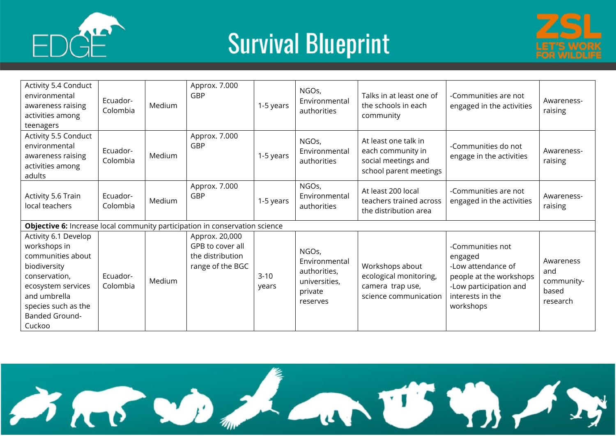



| Activity 5.4 Conduct<br>environmental<br>awareness raising<br>activities among<br>teenagers                                                                                         | Ecuador-<br>Colombia | Medium | Approx. 7.000<br><b>GBP</b>                                                | 1-5 years       | NGOs,<br>Environmental<br>authorities                                          | Talks in at least one of<br>the schools in each<br>community                               | -Communities are not<br>engaged in the activities                                                                                       | Awareness-<br>raising                               |  |
|-------------------------------------------------------------------------------------------------------------------------------------------------------------------------------------|----------------------|--------|----------------------------------------------------------------------------|-----------------|--------------------------------------------------------------------------------|--------------------------------------------------------------------------------------------|-----------------------------------------------------------------------------------------------------------------------------------------|-----------------------------------------------------|--|
| Activity 5.5 Conduct<br>environmental<br>awareness raising<br>activities among<br>adults                                                                                            | Ecuador-<br>Colombia | Medium | Approx. 7.000<br><b>GBP</b>                                                | 1-5 years       | NGOs,<br>Environmental<br>authorities                                          | At least one talk in<br>each community in<br>social meetings and<br>school parent meetings | -Communities do not<br>engage in the activities                                                                                         | Awareness-<br>raising                               |  |
| Activity 5.6 Train<br>local teachers                                                                                                                                                | Ecuador-<br>Colombia | Medium | Approx. 7.000<br>GBP                                                       | 1-5 years       | NGOs,<br>Environmental<br>authorities                                          | At least 200 local<br>teachers trained across<br>the distribution area                     | -Communities are not<br>engaged in the activities                                                                                       | Awareness-<br>raising                               |  |
| Objective 6: Increase local community participation in conservation science                                                                                                         |                      |        |                                                                            |                 |                                                                                |                                                                                            |                                                                                                                                         |                                                     |  |
| Activity 6.1 Develop<br>workshops in<br>communities about<br>biodiversity<br>conservation,<br>ecosystem services<br>and umbrella<br>species such as the<br>Banded Ground-<br>Cuckoo | Ecuador-<br>Colombia | Medium | Approx. 20,000<br>GPB to cover all<br>the distribution<br>range of the BGC | $3-10$<br>years | NGOs,<br>Environmental<br>authorities,<br>universities,<br>private<br>reserves | Workshops about<br>ecological monitoring,<br>camera trap use,<br>science communication     | -Communities not<br>engaged<br>-Low attendance of<br>people at the workshops<br>-Low participation and<br>interests in the<br>workshops | Awareness<br>and<br>community-<br>based<br>research |  |

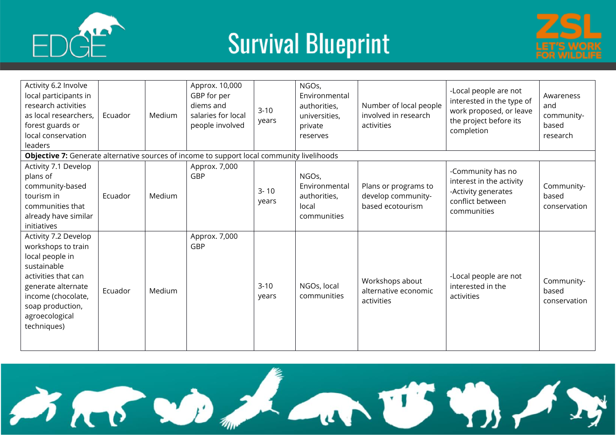





| Activity 6.2 Involve<br>local participants in<br>research activities<br>as local researchers,<br>forest guards or<br>local conservation<br>leaders                                                   | Ecuador | Medium | Approx. 10,000<br>GBP for per<br>diems and<br>salaries for local<br>people involved | $3-10$<br>years   | NGOs,<br>Environmental<br>authorities,<br>universities,<br>private<br>reserves | Number of local people<br>involved in research<br>activities   | -Local people are not<br>interested in the type of<br>work proposed, or leave<br>the project before its<br>completion | Awareness<br>and<br>community-<br>based<br>research |
|------------------------------------------------------------------------------------------------------------------------------------------------------------------------------------------------------|---------|--------|-------------------------------------------------------------------------------------|-------------------|--------------------------------------------------------------------------------|----------------------------------------------------------------|-----------------------------------------------------------------------------------------------------------------------|-----------------------------------------------------|
| Objective 7: Generate alternative sources of income to support local community livelihoods                                                                                                           |         |        |                                                                                     |                   |                                                                                |                                                                |                                                                                                                       |                                                     |
| Activity 7.1 Develop<br>plans of<br>community-based<br>tourism in<br>communities that<br>already have similar<br>initiatives                                                                         | Ecuador | Medium | Approx. 7,000<br>GBP                                                                | $3 - 10$<br>years | NGOs,<br>Environmental<br>authorities,<br>local<br>communities                 | Plans or programs to<br>develop community-<br>based ecotourism | -Community has no<br>interest in the activity<br>-Activity generates<br>conflict between<br>communities               | Community-<br>based<br>conservation                 |
| Activity 7.2 Develop<br>workshops to train<br>local people in<br>sustainable<br>activities that can<br>generate alternate<br>income (chocolate,<br>soap production,<br>agroecological<br>techniques) | Ecuador | Medium | Approx. 7,000<br><b>GBP</b>                                                         | $3-10$<br>years   | NGOs, local<br>communities                                                     | Workshops about<br>alternative economic<br>activities          | -Local people are not<br>interested in the<br>activities                                                              | Community-<br>based<br>conservation                 |

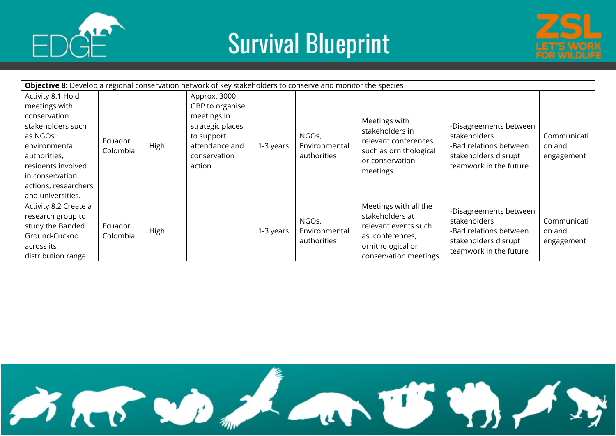





| Objective 8: Develop a regional conservation network of key stakeholders to conserve and monitor the species                                                                                               |                      |      |                                                                                                                              |           |                                       |                                                                                                                                    |                                                                                                                    |                                     |
|------------------------------------------------------------------------------------------------------------------------------------------------------------------------------------------------------------|----------------------|------|------------------------------------------------------------------------------------------------------------------------------|-----------|---------------------------------------|------------------------------------------------------------------------------------------------------------------------------------|--------------------------------------------------------------------------------------------------------------------|-------------------------------------|
| Activity 8.1 Hold<br>meetings with<br>conservation<br>stakeholders such<br>as NGOs,<br>environmental<br>authorities,<br>residents involved<br>in conservation<br>actions, researchers<br>and universities. | Ecuador,<br>Colombia | High | Approx. 3000<br>GBP to organise<br>meetings in<br>strategic places<br>to support<br>attendance and<br>conservation<br>action | 1-3 years | NGOs,<br>Environmental<br>authorities | Meetings with<br>stakeholders in<br>relevant conferences<br>such as ornithological<br>or conservation<br>meetings                  | -Disagreements between<br>stakeholders<br>-Bad relations between<br>stakeholders disrupt<br>teamwork in the future | Communicati<br>on and<br>engagement |
| Activity 8.2 Create a<br>research group to<br>study the Banded<br>Ground-Cuckoo<br>across its<br>distribution range                                                                                        | Ecuador,<br>Colombia | High |                                                                                                                              | 1-3 years | NGOs,<br>Environmental<br>authorities | Meetings with all the<br>stakeholders at<br>relevant events such<br>as, conferences,<br>ornithological or<br>conservation meetings | -Disagreements between<br>stakeholders<br>-Bad relations between<br>stakeholders disrupt<br>teamwork in the future | Communicati<br>on and<br>engagement |

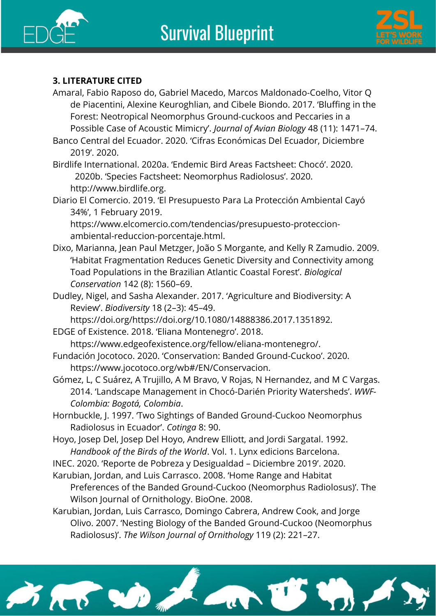



#### **3. LITERATURE CITED**

- Amaral, Fabio Raposo do, Gabriel Macedo, Marcos Maldonado‐Coelho, Vitor Q de Piacentini, Alexine Keuroghlian, and Cibele Biondo. 2017. 'Bluffing in the Forest: Neotropical Neomorphus Ground‐cuckoos and Peccaries in a Possible Case of Acoustic Mimicry'. *Journal of Avian Biology* 48 (11): 1471–74.
- Banco Central del Ecuador. 2020. 'Cifras Económicas Del Ecuador, Diciembre 2019'. 2020.

Birdlife International. 2020a. 'Endemic Bird Areas Factsheet: Chocó'. 2020. ——. 2020b. 'Species Factsheet: Neomorphus Radiolosus'. 2020. http://www.birdlife.org.

Diario El Comercio. 2019. 'El Presupuesto Para La Protección Ambiental Cayó 34%', 1 February 2019.

https://www.elcomercio.com/tendencias/presupuesto-proteccionambiental-reduccion-porcentaje.html.

- Dixo, Marianna, Jean Paul Metzger, João S Morgante, and Kelly R Zamudio. 2009. 'Habitat Fragmentation Reduces Genetic Diversity and Connectivity among Toad Populations in the Brazilian Atlantic Coastal Forest'. *Biological Conservation* 142 (8): 1560–69.
- Dudley, Nigel, and Sasha Alexander. 2017. 'Agriculture and Biodiversity: A Review'. *Biodiversity* 18 (2–3): 45–49.

https://doi.org/https://doi.org/10.1080/14888386.2017.1351892.

EDGE of Existence. 2018. 'Eliana Montenegro'. 2018. https://www.edgeofexistence.org/fellow/eliana-montenegro/.

Fundación Jocotoco. 2020. 'Conservation: Banded Ground-Cuckoo'. 2020. https://www.jocotoco.org/wb#/EN/Conservacion.

- Gómez, L, C Suárez, A Trujillo, A M Bravo, V Rojas, N Hernandez, and M C Vargas. 2014. 'Landscape Management in Chocó-Darién Priority Watersheds'. *WWF-Colombia: Bogotá, Colombia*.
- Hornbuckle, J. 1997. 'Two Sightings of Banded Ground-Cuckoo Neomorphus Radiolosus in Ecuador'. *Cotinga* 8: 90.
- Hoyo, Josep Del, Josep Del Hoyo, Andrew Elliott, and Jordi Sargatal. 1992. *Handbook of the Birds of the World*. Vol. 1. Lynx edicions Barcelona.
- INEC. 2020. 'Reporte de Pobreza y Desigualdad Diciembre 2019'. 2020.
- Karubian, Jordan, and Luis Carrasco. 2008. 'Home Range and Habitat

Preferences of the Banded Ground-Cuckoo (Neomorphus Radiolosus)'. The Wilson Journal of Ornithology. BioOne. 2008.

Karubian, Jordan, Luis Carrasco, Domingo Cabrera, Andrew Cook, and Jorge Olivo. 2007. 'Nesting Biology of the Banded Ground-Cuckoo (Neomorphus Radiolosus)'. *The Wilson Journal of Ornithology* 119 (2): 221–27.